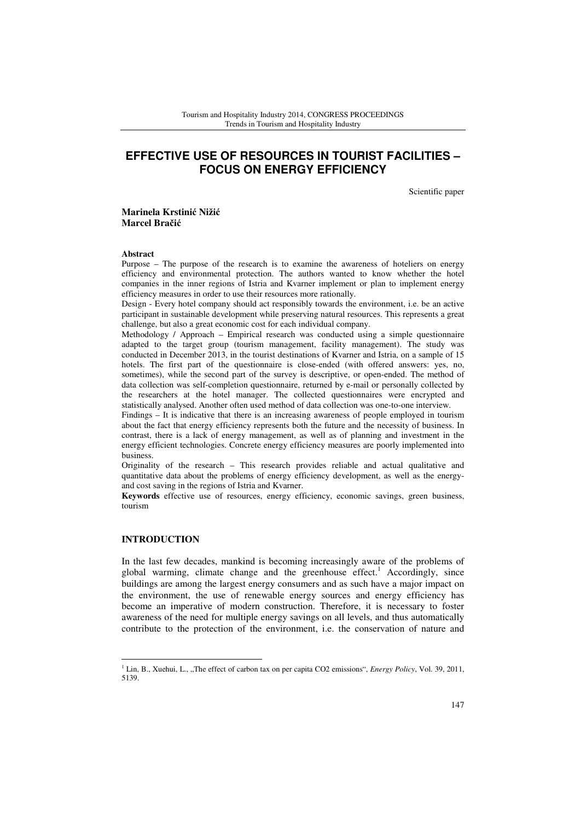# **EFFECTIVE USE OF RESOURCES IN TOURIST FACILITIES – FOCUS ON ENERGY EFFICIENCY**

Scientific paper

### **Marinela Krstini**ć **Niži**ć **Marcel Bra**č**i**ć

#### **Abstract**

Purpose – The purpose of the research is to examine the awareness of hoteliers on energy efficiency and environmental protection. The authors wanted to know whether the hotel companies in the inner regions of Istria and Kvarner implement or plan to implement energy efficiency measures in order to use their resources more rationally.

Design - Every hotel company should act responsibly towards the environment, i.e. be an active participant in sustainable development while preserving natural resources. This represents a great challenge, but also a great economic cost for each individual company.

Methodology / Approach – Empirical research was conducted using a simple questionnaire adapted to the target group (tourism management, facility management). The study was conducted in December 2013, in the tourist destinations of Kvarner and Istria, on a sample of 15 hotels. The first part of the questionnaire is close-ended (with offered answers: yes, no, sometimes), while the second part of the survey is descriptive, or open-ended. The method of data collection was self-completion questionnaire, returned by e-mail or personally collected by the researchers at the hotel manager. The collected questionnaires were encrypted and statistically analysed. Another often used method of data collection was one-to-one interview.

Findings – It is indicative that there is an increasing awareness of people employed in tourism about the fact that energy efficiency represents both the future and the necessity of business. In contrast, there is a lack of energy management, as well as of planning and investment in the energy efficient technologies. Concrete energy efficiency measures are poorly implemented into business.

Originality of the research – This research provides reliable and actual qualitative and quantitative data about the problems of energy efficiency development, as well as the energyand cost saving in the regions of Istria and Kvarner.

**Keywords** effective use of resources, energy efficiency, economic savings, green business, tourism

# **INTRODUCTION**

 $\overline{a}$ 

In the last few decades, mankind is becoming increasingly aware of the problems of global warming, climate change and the greenhouse effect.<sup>1</sup> Accordingly, since buildings are among the largest energy consumers and as such have a major impact on the environment, the use of renewable energy sources and energy efficiency has become an imperative of modern construction. Therefore, it is necessary to foster awareness of the need for multiple energy savings on all levels, and thus automatically contribute to the protection of the environment, i.e. the conservation of nature and

<sup>&</sup>lt;sup>1</sup> Lin, B., Xuehui, L., "The effect of carbon tax on per capita CO2 emissions", *Energy Policy*, Vol. 39, 2011, 5139.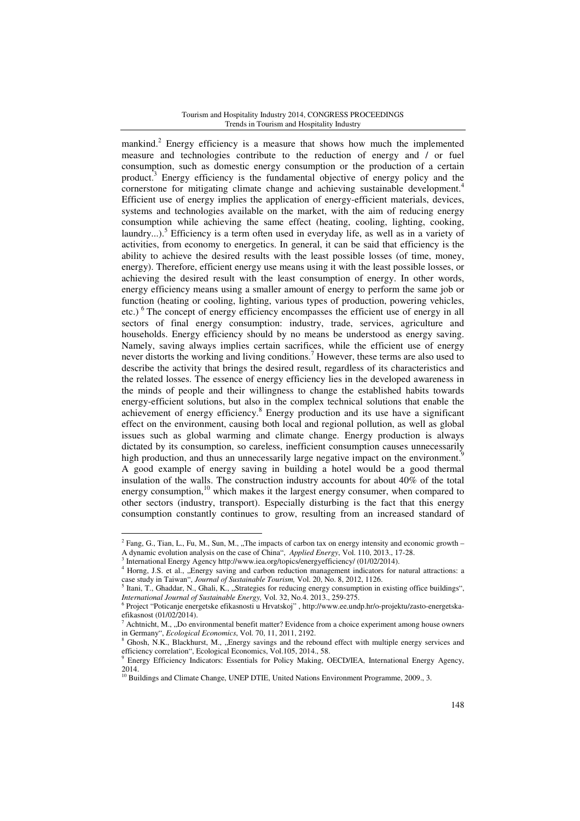#### Tourism and Hospitality Industry 2014, CONGRESS PROCEEDINGS Trends in Tourism and Hospitality Industry

mankind.<sup>2</sup> Energy efficiency is a measure that shows how much the implemented measure and technologies contribute to the reduction of energy and / or fuel consumption, such as domestic energy consumption or the production of a certain product.<sup>3</sup> Energy efficiency is the fundamental objective of energy policy and the cornerstone for mitigating climate change and achieving sustainable development.<sup>4</sup> Efficient use of energy implies the application of energy-efficient materials, devices, systems and technologies available on the market, with the aim of reducing energy consumption while achieving the same effect (heating, cooling, lighting, cooking, laundry...).<sup>5</sup> Efficiency is a term often used in everyday life, as well as in a variety of activities, from economy to energetics. In general, it can be said that efficiency is the ability to achieve the desired results with the least possible losses (of time, money, energy). Therefore, efficient energy use means using it with the least possible losses, or achieving the desired result with the least consumption of energy. In other words, energy efficiency means using a smaller amount of energy to perform the same job or function (heating or cooling, lighting, various types of production, powering vehicles, etc.) $6$ The concept of energy efficiency encompasses the efficient use of energy in all sectors of final energy consumption: industry, trade, services, agriculture and households. Energy efficiency should by no means be understood as energy saving. Namely, saving always implies certain sacrifices, while the efficient use of energy never distorts the working and living conditions.<sup>7</sup> However, these terms are also used to describe the activity that brings the desired result, regardless of its characteristics and the related losses. The essence of energy efficiency lies in the developed awareness in the minds of people and their willingness to change the established habits towards energy-efficient solutions, but also in the complex technical solutions that enable the achievement of energy efficiency.<sup>8</sup> Energy production and its use have a significant effect on the environment, causing both local and regional pollution, as well as global issues such as global warming and climate change. Energy production is always dictated by its consumption, so careless, inefficient consumption causes unnecessarily high production, and thus an unnecessarily large negative impact on the environment. A good example of energy saving in building a hotel would be a good thermal insulation of the walls. The construction industry accounts for about 40% of the total energy consumption,<sup>10</sup> which makes it the largest energy consumer, when compared to other sectors (industry, transport). Especially disturbing is the fact that this energy consumption constantly continues to grow, resulting from an increased standard of

<sup>&</sup>lt;sup>2</sup> Fang, G., Tian, L., Fu, M., Sun, M., "The impacts of carbon tax on energy intensity and economic growth – A dynamic evolution analysis on the case of China", *Applied Energy*, Vol. 110, 2013., 17-28.

<sup>3</sup> International Energy Agency http://www.iea.org/topics/energyefficiency/ (01/02/2014).

<sup>4</sup> Horng, J.S. et al., "Energy saving and carbon reduction management indicators for natural attractions: a case study in Taiwan", *Journal of Sustainable Tourism,* Vol. 20, No. 8, 2012, 1126.

 $<sup>5</sup>$  Itani, T., Ghaddar, N., Ghali, K., "Strategies for reducing energy consumption in existing office buildings",</sup> *International Journal of Sustainable Energy,* Vol. 32, No.4. 2013., 259-275.

<sup>6</sup> Project "Poticanje energetske efikasnosti u Hrvatskoj" , http://www.ee.undp.hr/o-projektu/zasto-energetskaefikasnost (01/02/2014).

<sup>7</sup> Achtnicht, M., "Do environmental benefit matter? Evidence from a choice experiment among house owners in Germany", *Ecological Economics*, Vol. 70, 11, 2011, 2192. 8

Ghosh, N.K., Blackhurst, M., "Energy savings and the rebound effect with multiple energy services and efficiency correlation", Ecological Economics, Vol.105, 2014., 58.

<sup>9</sup> Energy Efficiency Indicators: Essentials for Policy Making, OECD/IEA, International Energy Agency, 2014.

<sup>&</sup>lt;sup>10</sup> Buildings and Climate Change, UNEP DTIE, United Nations Environment Programme, 2009., 3.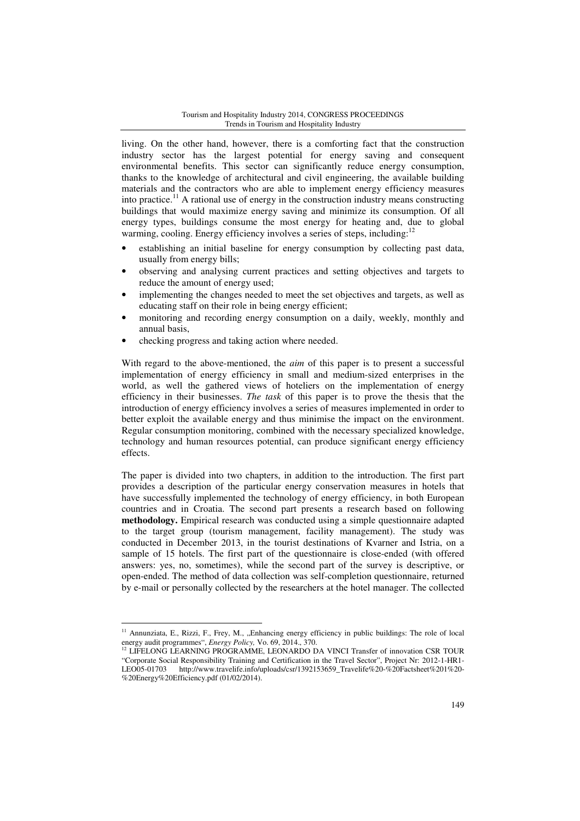living. On the other hand, however, there is a comforting fact that the construction industry sector has the largest potential for energy saving and consequent environmental benefits. This sector can significantly reduce energy consumption, thanks to the knowledge of architectural and civil engineering, the available building materials and the contractors who are able to implement energy efficiency measures into practice.<sup>11</sup> A rational use of energy in the construction industry means constructing buildings that would maximize energy saving and minimize its consumption. Of all energy types, buildings consume the most energy for heating and, due to global warming, cooling. Energy efficiency involves a series of steps, including: $12$ 

- establishing an initial baseline for energy consumption by collecting past data, usually from energy bills;
- observing and analysing current practices and setting objectives and targets to reduce the amount of energy used;
- implementing the changes needed to meet the set objectives and targets, as well as educating staff on their role in being energy efficient;
- monitoring and recording energy consumption on a daily, weekly, monthly and annual basis,
- checking progress and taking action where needed.

 $\overline{a}$ 

With regard to the above-mentioned, the *aim* of this paper is to present a successful implementation of energy efficiency in small and medium-sized enterprises in the world, as well the gathered views of hoteliers on the implementation of energy efficiency in their businesses. *The task* of this paper is to prove the thesis that the introduction of energy efficiency involves a series of measures implemented in order to better exploit the available energy and thus minimise the impact on the environment. Regular consumption monitoring, combined with the necessary specialized knowledge, technology and human resources potential, can produce significant energy efficiency effects.

The paper is divided into two chapters, in addition to the introduction. The first part provides a description of the particular energy conservation measures in hotels that have successfully implemented the technology of energy efficiency, in both European countries and in Croatia. The second part presents a research based on following **methodology.** Empirical research was conducted using a simple questionnaire adapted to the target group (tourism management, facility management). The study was conducted in December 2013, in the tourist destinations of Kvarner and Istria, on a sample of 15 hotels. The first part of the questionnaire is close-ended (with offered answers: yes, no, sometimes), while the second part of the survey is descriptive, or open-ended. The method of data collection was self-completion questionnaire, returned by e-mail or personally collected by the researchers at the hotel manager. The collected

 $11$  Annunziata, E., Rizzi, F., Frey, M., "Enhancing energy efficiency in public buildings: The role of local energy audit programmes", *Energy Policy,* Vo. 69, 2014., 370.

 $12$  LIFELONG LEARNING PROGRAMME, LEONARDO DA VINCI Transfer of innovation CSR TOUR "Corporate Social Responsibility Training and Certification in the Travel Sector", Project Nr: 2012-1-HR1- LEO05-01703 http://www.travelife.info/uploads/csr/1392153659\_Travelife%20-%20Factsheet%201%20- %20Energy%20Efficiency.pdf (01/02/2014).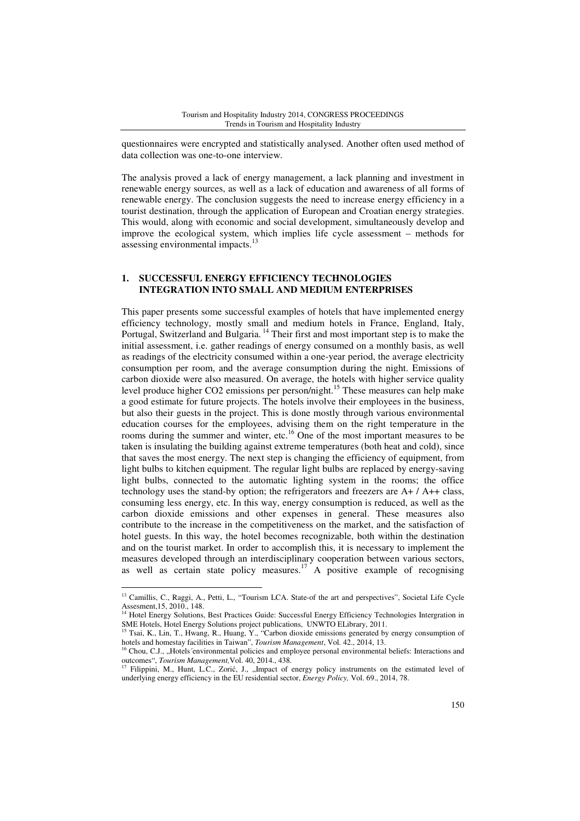questionnaires were encrypted and statistically analysed. Another often used method of data collection was one-to-one interview.

The analysis proved a lack of energy management, a lack planning and investment in renewable energy sources, as well as a lack of education and awareness of all forms of renewable energy. The conclusion suggests the need to increase energy efficiency in a tourist destination, through the application of European and Croatian energy strategies. This would, along with economic and social development, simultaneously develop and improve the ecological system, which implies life cycle assessment – methods for assessing environmental impacts.<sup>13</sup>

#### **1. SUCCESSFUL ENERGY EFFICIENCY TECHNOLOGIES INTEGRATION INTO SMALL AND MEDIUM ENTERPRISES**

This paper presents some successful examples of hotels that have implemented energy efficiency technology, mostly small and medium hotels in France, England, Italy, Portugal, Switzerland and Bulgaria.<sup>14</sup> Their first and most important step is to make the initial assessment, i.e. gather readings of energy consumed on a monthly basis, as well as readings of the electricity consumed within a one-year period, the average electricity consumption per room, and the average consumption during the night. Emissions of carbon dioxide were also measured. On average, the hotels with higher service quality level produce higher CO2 emissions per person/night. <sup>15</sup> These measures can help make a good estimate for future projects. The hotels involve their employees in the business, but also their guests in the project. This is done mostly through various environmental education courses for the employees, advising them on the right temperature in the rooms during the summer and winter, etc.<sup>16</sup> One of the most important measures to be taken is insulating the building against extreme temperatures (both heat and cold), since that saves the most energy. The next step is changing the efficiency of equipment, from light bulbs to kitchen equipment. The regular light bulbs are replaced by energy-saving light bulbs, connected to the automatic lighting system in the rooms; the office technology uses the stand-by option; the refrigerators and freezers are  $A+ / A++$  class, consuming less energy, etc. In this way, energy consumption is reduced, as well as the carbon dioxide emissions and other expenses in general. These measures also contribute to the increase in the competitiveness on the market, and the satisfaction of hotel guests. In this way, the hotel becomes recognizable, both within the destination and on the tourist market. In order to accomplish this, it is necessary to implement the measures developed through an interdisciplinary cooperation between various sectors, as well as certain state policy measures.<sup>17</sup> A positive example of recognising

<sup>&</sup>lt;sup>13</sup> Camillis, C., Raggi, A., Petti, L., "Tourism LCA. State-of the art and perspectives", Societal Life Cycle Assesment,15, 2010., 148. <sup>14</sup> Hotel Energy Solutions, Best Practices Guide: Successful Energy Efficiency Technologies Intergration in

SME Hotels, Hotel Energy Solutions project publications, UNWTO ELibrary, 2011.

<sup>15</sup> Tsai, K., Lin, T., Hwang, R., Huang, Y., "Carbon dioxide emissions generated by energy consumption of hotels and homestay facilities in Taiwan", *Tourism Management*, Vol. 42., 2014, 13.

 $16$  Chou, C.J., "Hotels´ environmental policies and employee personal environmental beliefs: Interactions and outcomes", *Tourism Management,*Vol. 40, 2014., 438.

Filippini, M., Hunt, L.C., Zorić, J., "Impact of energy policy instruments on the estimated level of underlying energy efficiency in the EU residential sector, *Energy Policy,* Vol. 69., 2014, 78.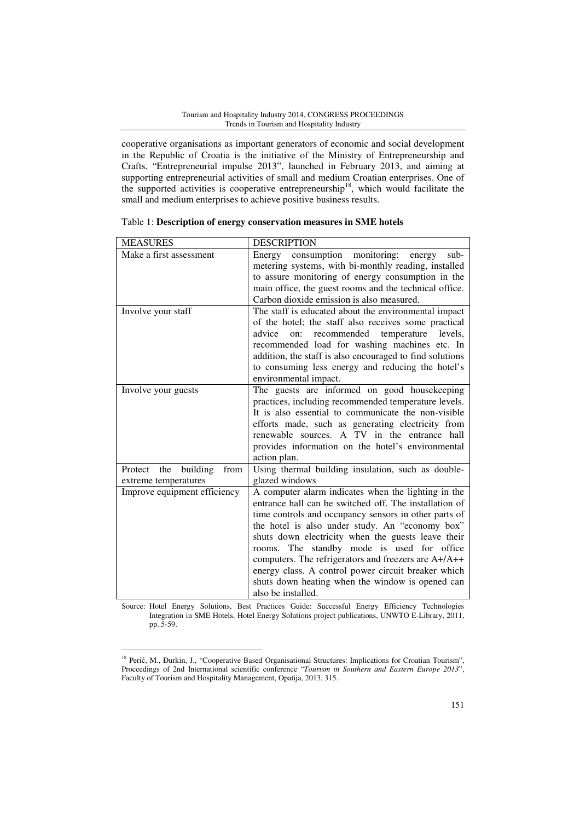cooperative organisations as important generators of economic and social development in the Republic of Croatia is the initiative of the Ministry of Entrepreneurship and Crafts, "Entrepreneurial impulse 2013", launched in February 2013, and aiming at supporting entrepreneurial activities of small and medium Croatian enterprises. One of the supported activities is cooperative entrepreneurship<sup>18</sup>, which would facilitate the small and medium enterprises to achieve positive business results.

| <b>MEASURES</b>                                            | <b>DESCRIPTION</b>                                                                                                                                                                                                                                                                                                                                                                                                                                                                                                     |  |
|------------------------------------------------------------|------------------------------------------------------------------------------------------------------------------------------------------------------------------------------------------------------------------------------------------------------------------------------------------------------------------------------------------------------------------------------------------------------------------------------------------------------------------------------------------------------------------------|--|
| Make a first assessment                                    | consumption monitoring:<br>Energy<br>sub-<br>energy<br>metering systems, with bi-monthly reading, installed<br>to assure monitoring of energy consumption in the<br>main office, the guest rooms and the technical office.<br>Carbon dioxide emission is also measured.                                                                                                                                                                                                                                                |  |
| Involve your staff                                         | The staff is educated about the environmental impact<br>of the hotel; the staff also receives some practical<br>recommended temperature levels,<br>advice<br>on:<br>recommended load for washing machines etc. In<br>addition, the staff is also encouraged to find solutions<br>to consuming less energy and reducing the hotel's<br>environmental impact.                                                                                                                                                            |  |
| Involve your guests                                        | The guests are informed on good housekeeping<br>practices, including recommended temperature levels.<br>It is also essential to communicate the non-visible<br>efforts made, such as generating electricity from<br>renewable sources. A TV in the entrance hall<br>provides information on the hotel's environmental<br>action plan.                                                                                                                                                                                  |  |
| building<br>Protect<br>the<br>from<br>extreme temperatures | Using thermal building insulation, such as double-<br>glazed windows                                                                                                                                                                                                                                                                                                                                                                                                                                                   |  |
| Improve equipment efficiency                               | A computer alarm indicates when the lighting in the<br>entrance hall can be switched off. The installation of<br>time controls and occupancy sensors in other parts of<br>the hotel is also under study. An "economy box"<br>shuts down electricity when the guests leave their<br>rooms. The standby mode is used for office<br>computers. The refrigerators and freezers are A+/A++<br>energy class. A control power circuit breaker which<br>shuts down heating when the window is opened can<br>also be installed. |  |

| Table 1: Description of energy conservation measures in SME hotels |  |  |
|--------------------------------------------------------------------|--|--|
|--------------------------------------------------------------------|--|--|

Source: Hotel Energy Solutions, Best Practices Guide: Successful Energy Efficiency Technologies Integration in SME Hotels, Hotel Energy Solutions project publications, UNWTO E-Library, 2011, pp. 5-59.

<sup>&</sup>lt;sup>18</sup> Perić, M., Đurkin, J., "Cooperative Based Organisational Structures: Implications for Croatian Tourism", Proceedings of 2nd International scientific conference "*Tourism in Southern and Eastern Europe 2013*", Faculty of Tourism and Hospitality Management, Opatija, 2013, 315.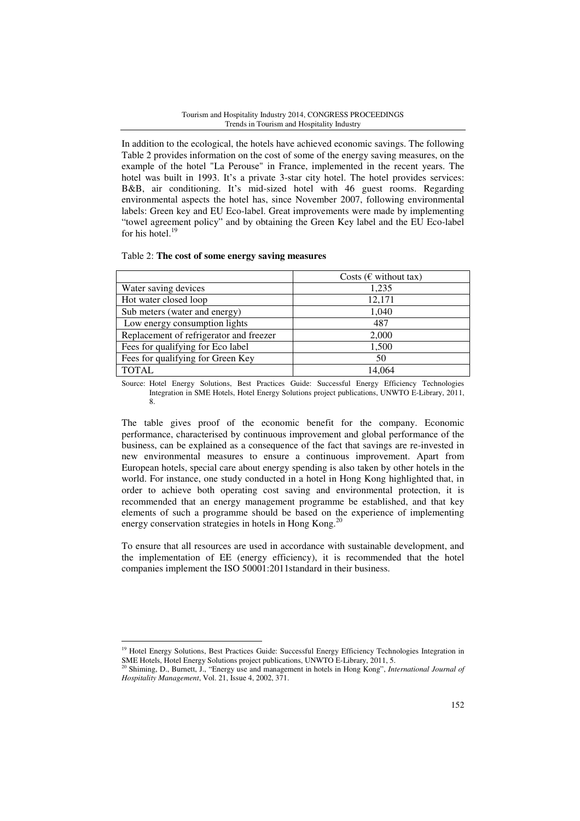#### Tourism and Hospitality Industry 2014, CONGRESS PROCEEDINGS Trends in Tourism and Hospitality Industry

In addition to the ecological, the hotels have achieved economic savings. The following Table 2 provides information on the cost of some of the energy saving measures, on the example of the hotel "La Perouse" in France, implemented in the recent years. The hotel was built in 1993. It's a private 3-star city hotel. The hotel provides services: B&B, air conditioning. It's mid-sized hotel with 46 guest rooms. Regarding environmental aspects the hotel has, since November 2007, following environmental labels: Green key and EU Eco-label. Great improvements were made by implementing "towel agreement policy" and by obtaining the Green Key label and the EU Eco-label for his hotel.<sup>19</sup>

#### Table 2: **The cost of some energy saving measures**

|                                         | Costs ( $\epsilon$ without tax) |
|-----------------------------------------|---------------------------------|
| Water saving devices                    | 1,235                           |
| Hot water closed loop                   | 12,171                          |
| Sub meters (water and energy)           | 1,040                           |
| Low energy consumption lights           | 487                             |
| Replacement of refrigerator and freezer | 2,000                           |
| Fees for qualifying for Eco label       | 1,500                           |
| Fees for qualifying for Green Key       | 50                              |
| <b>TOTAL</b>                            | 14.064                          |

Source: Hotel Energy Solutions, Best Practices Guide: Successful Energy Efficiency Technologies Integration in SME Hotels, Hotel Energy Solutions project publications, UNWTO E-Library, 2011, 8.

The table gives proof of the economic benefit for the company. Economic performance, characterised by continuous improvement and global performance of the business, can be explained as a consequence of the fact that savings are re-invested in new environmental measures to ensure a continuous improvement. Apart from European hotels, special care about energy spending is also taken by other hotels in the world. For instance, one study conducted in a hotel in Hong Kong highlighted that, in order to achieve both operating cost saving and environmental protection, it is recommended that an energy management programme be established, and that key elements of such a programme should be based on the experience of implementing energy conservation strategies in hotels in Hong Kong.<sup>20</sup>

To ensure that all resources are used in accordance with sustainable development, and the implementation of EE (energy efficiency), it is recommended that the hotel companies implement the ISO 50001:2011standard in their business.

<sup>&</sup>lt;sup>19</sup> Hotel Energy Solutions, Best Practices Guide: Successful Energy Efficiency Technologies Integration in SME Hotels, Hotel Energy Solutions project publications, UNWTO E-Library, 2011, 5.

<sup>&</sup>lt;sup>0</sup> Shiming, D., Burnett, J., "Energy use and management in hotels in Hong Kong", *International Journal of Hospitality Management*, Vol. 21, Issue 4, 2002, 371.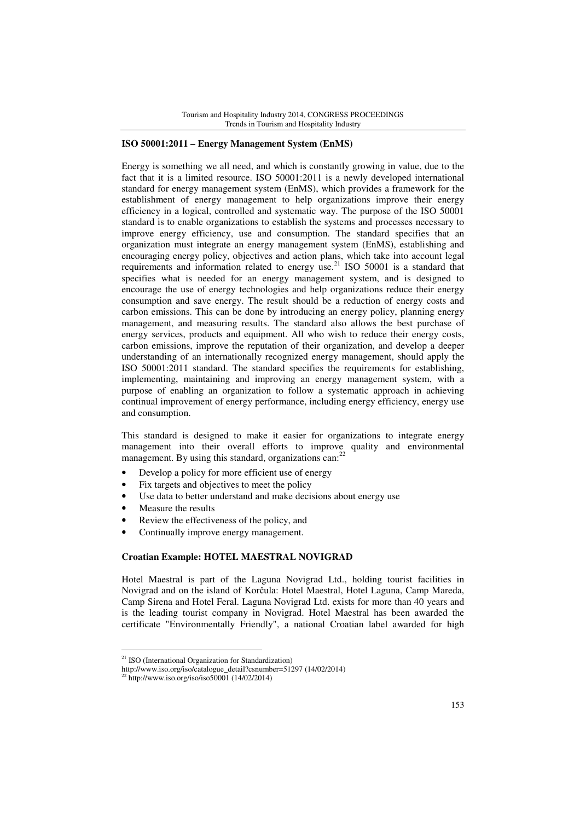### **ISO 50001:2011 – Energy Management System (EnMS)**

Energy is something we all need, and which is constantly growing in value, due to the fact that it is a limited resource. ISO 50001:2011 is a newly developed international standard for energy management system (EnMS), which provides a framework for the establishment of energy management to help organizations improve their energy efficiency in a logical, controlled and systematic way. The purpose of the ISO 50001 standard is to enable organizations to establish the systems and processes necessary to improve energy efficiency, use and consumption. The standard specifies that an organization must integrate an energy management system (EnMS), establishing and encouraging energy policy, objectives and action plans, which take into account legal requirements and information related to energy use.<sup>21</sup> ISO 50001 is a standard that specifies what is needed for an energy management system, and is designed to encourage the use of energy technologies and help organizations reduce their energy consumption and save energy. The result should be a reduction of energy costs and carbon emissions. This can be done by introducing an energy policy, planning energy management, and measuring results. The standard also allows the best purchase of energy services, products and equipment. All who wish to reduce their energy costs, carbon emissions, improve the reputation of their organization, and develop a deeper understanding of an internationally recognized energy management, should apply the ISO 50001:2011 standard. The standard specifies the requirements for establishing, implementing, maintaining and improving an energy management system, with a purpose of enabling an organization to follow a systematic approach in achieving continual improvement of energy performance, including energy efficiency, energy use and consumption.

This standard is designed to make it easier for organizations to integrate energy management into their overall efforts to improve quality and environmental management. By using this standard, organizations can:<sup>22</sup>

- Develop a policy for more efficient use of energy
- Fix targets and objectives to meet the policy
- Use data to better understand and make decisions about energy use
- Measure the results

 $\overline{a}$ 

- Review the effectiveness of the policy, and
- Continually improve energy management.

### **Croatian Example: HOTEL MAESTRAL NOVIGRAD**

Hotel Maestral is part of the Laguna Novigrad Ltd., holding tourist facilities in Novigrad and on the island of Korčula: Hotel Maestral, Hotel Laguna, Camp Mareda, Camp Sirena and Hotel Feral. Laguna Novigrad Ltd. exists for more than 40 years and is the leading tourist company in Novigrad. Hotel Maestral has been awarded the certificate "Environmentally Friendly", a national Croatian label awarded for high

<sup>&</sup>lt;sup>21</sup> ISO (International Organization for Standardization)

http://www.iso.org/iso/catalogue\_detail?csnumber=51297 (14/02/2014)

 $^{22}$  http://www.iso.org/iso/iso50001 (14/02/2014)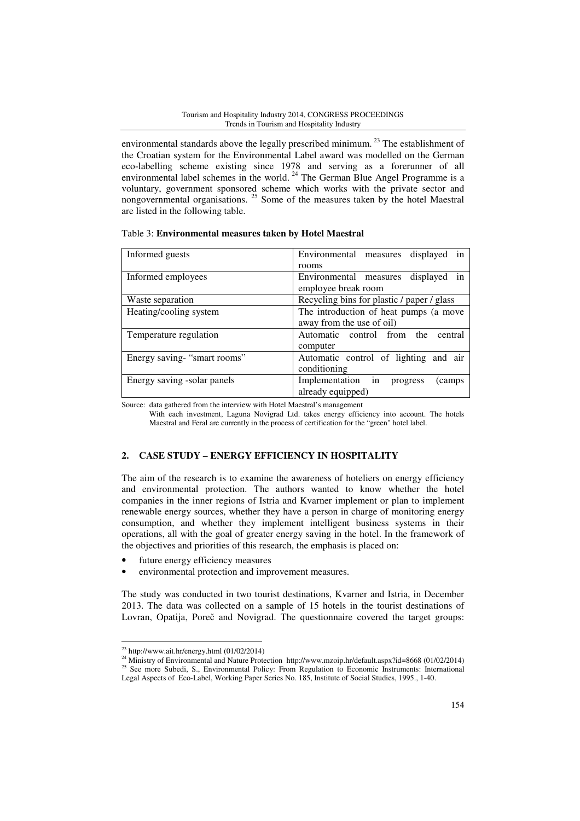environmental standards above the legally prescribed minimum.<sup>23</sup> The establishment of the Croatian system for the Environmental Label award was modelled on the German eco-labelling scheme existing since 1978 and serving as a forerunner of all environmental label schemes in the world.<sup>24</sup> The German Blue Angel Programme is a voluntary, government sponsored scheme which works with the private sector and nongovernmental organisations. <sup>25</sup> Some of the measures taken by the hotel Maestral are listed in the following table.

| Table 3: Environmental measures taken by Hotel Maestral |  |  |
|---------------------------------------------------------|--|--|
|---------------------------------------------------------|--|--|

| Informed guests              | Environmental measures displayed<br>1n     |  |
|------------------------------|--------------------------------------------|--|
|                              | rooms                                      |  |
| Informed employees           | displayed in<br>Environmental measures     |  |
|                              | employee break room                        |  |
| Waste separation             | Recycling bins for plastic / paper / glass |  |
| Heating/cooling system       | The introduction of heat pumps (a move     |  |
|                              | away from the use of oil)                  |  |
| Temperature regulation       | Automatic control from the<br>central      |  |
|                              | computer                                   |  |
| Energy saving- "smart rooms" | Automatic control of lighting and air      |  |
|                              | conditioning                               |  |
| Energy saving -solar panels  | Implementation in<br>progress<br>camps     |  |
|                              | already equipped)                          |  |

Source: data gathered from the interview with Hotel Maestral's management

With each investment, Laguna Novigrad Ltd. takes energy efficiency into account. The hotels Maestral and Feral are currently in the process of certification for the "green" hotel label.

# **2. CASE STUDY – ENERGY EFFICIENCY IN HOSPITALITY**

The aim of the research is to examine the awareness of hoteliers on energy efficiency and environmental protection. The authors wanted to know whether the hotel companies in the inner regions of Istria and Kvarner implement or plan to implement renewable energy sources, whether they have a person in charge of monitoring energy consumption, and whether they implement intelligent business systems in their operations, all with the goal of greater energy saving in the hotel. In the framework of the objectives and priorities of this research, the emphasis is placed on:

- future energy efficiency measures
- environmental protection and improvement measures.

The study was conducted in two tourist destinations, Kvarner and Istria, in December 2013. The data was collected on a sample of 15 hotels in the tourist destinations of Lovran, Opatija, Poreč and Novigrad. The questionnaire covered the target groups:

 $^{23}$  http://www.ait.hr/energy.html (01/02/2014)

<sup>&</sup>lt;sup>24</sup> Ministry of Environmental and Nature Protection http://www.mzoip.hr/default.aspx?id=8668 (01/02/2014) <sup>25</sup> See more Subedi, S., Environmental Policy: From Regulation to Economic Instruments: International Legal Aspects of Eco-Label, Working Paper Series No. 185, Institute of Social Studies, 1995., 1-40.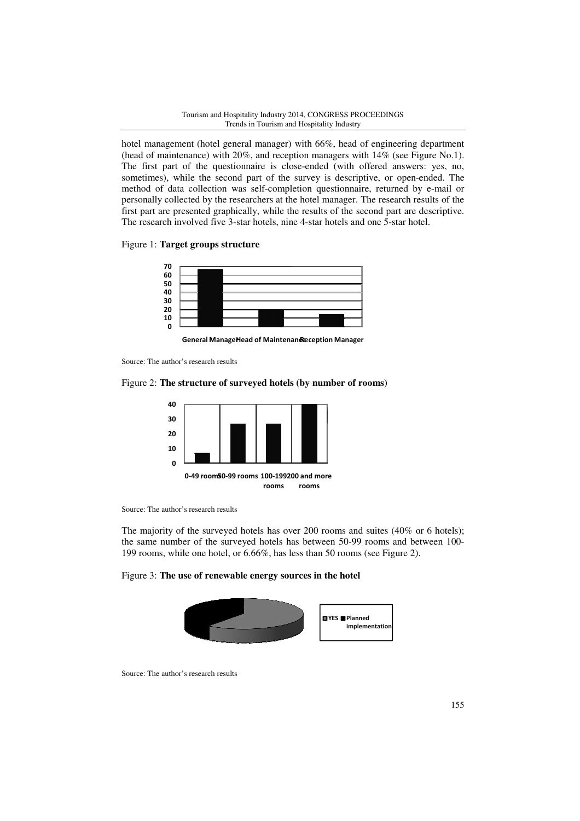hotel management (hotel general manager) with 66%, head of engineering department (head of maintenance) with 20 20%, and reception managers with 14% (see Figure Figure No.1). The first part of the questionnaire is close-ended (with offered answers: yes, no, sometimes), while the second part of the survey is descriptive, or open-ended. The The first part of the questionnaire is close-ended (with offered answers: yes, no, sometimes), while the second part of the survey is descriptive, or open-ended. The method of data collection was self-completion questionna personally collected by the researchers at the hotel manager. The research results of the first part are presented graphically, while the results of the second part are descriptive. The research involved five 3-star hotels, nine 4-star hotels and one 5-star hotel.

### Figure 1: **Target groups structure**



General ManageHead of Maintenandeception Manager

Source: The author's research results

### Figure 2: **The structure of surveyed hotel hotels (by number of rooms)**



Source: The author's research results

The majority of the surveyed hotels has over 200 rooms and suites (40% or 6 hotels); the same number of the surveyed hotels has between 50-99 rooms and between 199 rooms, while one hotel, or 6.66%, has less than 50 rooms (see Figure 2). star hotel.<br>
(40% or 6 hotels);<br>
and between 100-

### Figure 3: **The use of renewable energy sources in the hotel**



Source: The author's research results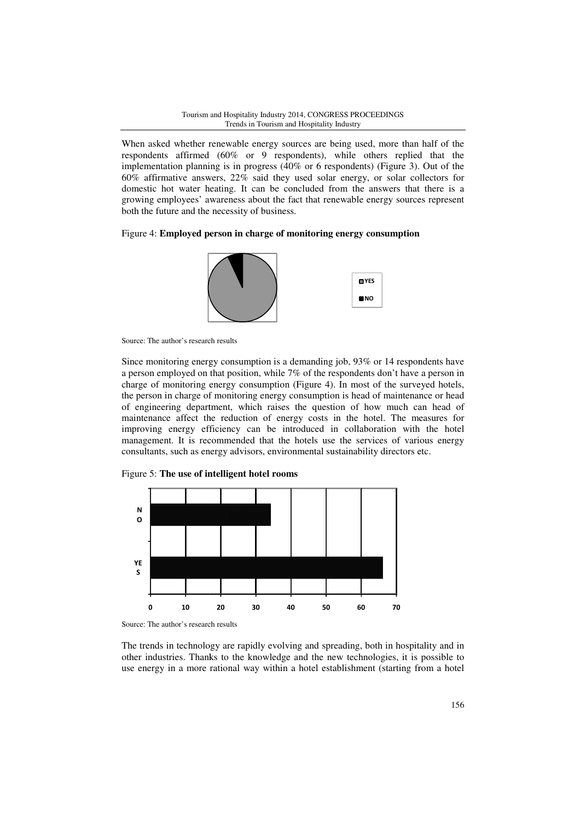When asked whether renewable energy sources are being used, more than half of the respondents affirmed (60% or 9 respondents), while others replied that the implementation planning is in progress  $(40\%$  or 6 respondents) (Figure 3). Out of the 60% affirmative answers, 22% said they used solar energy, or solar collectors for domestic hot water heating. It can be concluded from the answers that there is a growing employees' awareness about the fact that renewable energy sources represent both the future and the necessity of business.

Figure 4: **Employed person in charge of monitoring energy consumption** 



Source: The author's research results

Since monitoring energy consumption is a demanding job, 93% or 14 respondents have a person employed on that position, while 7% of the respondents don't have a person in charge of monitoring energy consumption (Figure 4). In most of the surveyed hotels hotels, the person in charge of monitoring energy consumption is head of maintenance or head of engineering department, which raises the question of how much can head of maintenance affect the reduction of energy costs in the hotel. The measures for improving energy efficiency can be introduced in collaboration with the hotel management. It is recommended that the hotels use the services of various energy consultants, such as energy advisors, environmental sustainability directors etc.





Source: The author's research results

The trends in technology are rapidly evolving and spreading, both in hospitality and in other industries. Thanks to the knowledge and the new technologies, it is possible to use energy in a more rational way within a hotel establishment (starting from a hotel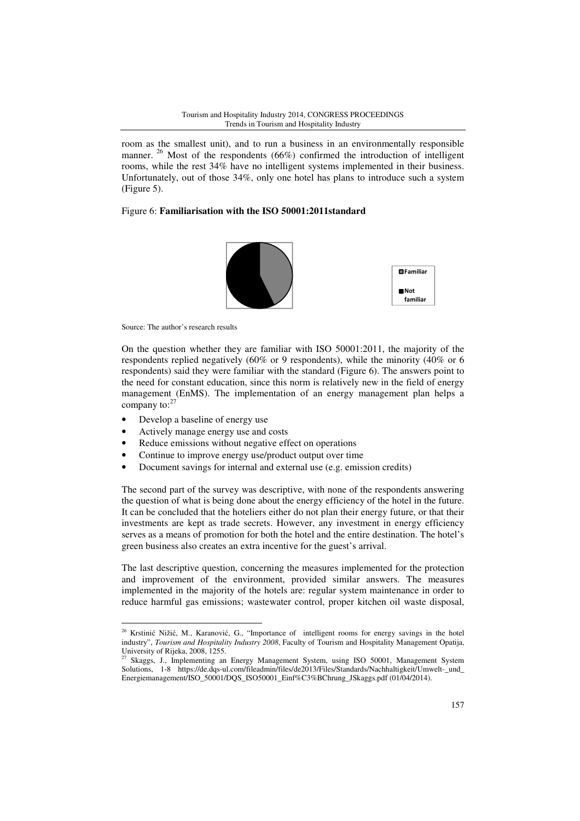room as the smallest unit), and to run a business in an environmentally responsible manner.<sup>26</sup> Most of the respondents (66%) confirmed the introduction of intelligent rooms, while the rest 34% have no intelligent systems implemented in their business. Unfortunately, out of those 34%, only one hotel has plans to introduce such a system (Figure 5).

# Figure 6: **Familiarisation with the ISO 50001:2011standard**



Source: The author's research results

On the question whether they are familiar with ISO 50001:2011, the majority of the respondents replied negatively (60% or 9 respondents), while the minority (40% or 6 respondents) said they were familiar with the standard (Figure 6). The answers point to the need for constant education, since this norm is relatively new in the field of energy management (EnMS). The implementation of an energy management plan helps a company to: $2<sup>2</sup>$ 

• Develop a baseline of energy use

 $\overline{a}$ 

- Actively manage energy use and costs
- Reduce emissions without negative effect on operations
- Continue to improve energy use/product output over time
- Document savings for internal and external use (e.g. emission credits)

The second part of the survey was descriptive, with none of the respondents answering the question of what is being done about the energy efficiency of the hotel in the future. It can be concluded that the hoteliers either do not plan their energy future, or that their investments are kept as trade secrets. However, any investment in energy efficiency serves as a means of promotion for both the hotel and the entire destination. The hotel's green business also creates an extra incentive for the guest's arrival.

The last descriptive question, concerning the measures implemented for the protection and improvement of the environment, provided similar answers. The measures implemented in the majority of the hotels are: regular system maintenance in order to reduce harmful gas emissions; wastewater control, proper kitchen oil waste disposal,

<sup>&</sup>lt;sup>26</sup> Krstinić Nižić, M., Karanović, G., "Importance of intelligent rooms for energy savings in the hotel industry", *Tourism and Hospitality Industry 2008*, Faculty of Tourism and Hospitality Management Opatija, University of Rijeka, 2008, 1255.

<sup>&</sup>lt;sup>27</sup> Skaggs, J., Implementing an Energy Management System, using ISO 50001, Management System Solutions, 1-8 https://de.dqs-ul.com/fileadmin/files/de2013/Files/Standards/Nachhaltigkeit/Umwelt-\_und\_ Energiemanagement/ISO\_50001/DQS\_ISO50001\_Einf%C3%BChrung\_JSkaggs.pdf (01/04/2014).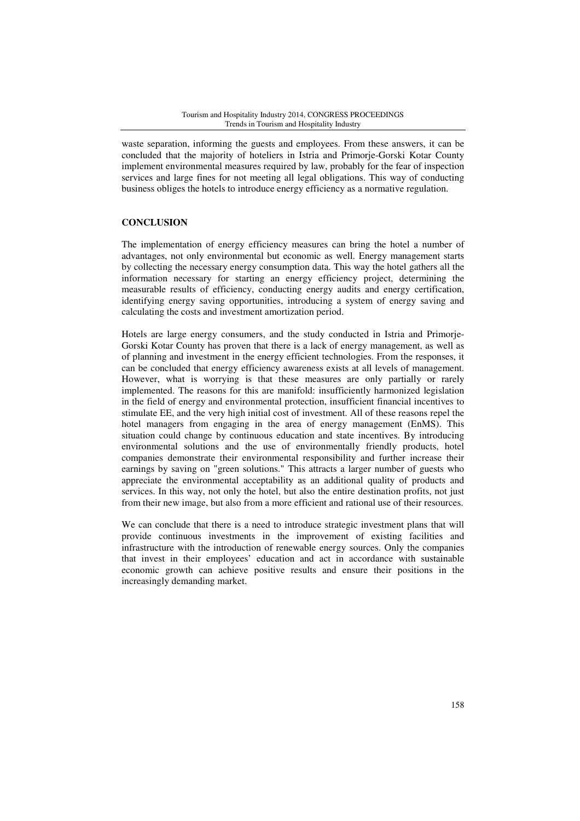waste separation, informing the guests and employees. From these answers, it can be concluded that the majority of hoteliers in Istria and Primorje-Gorski Kotar County implement environmental measures required by law, probably for the fear of inspection services and large fines for not meeting all legal obligations. This way of conducting business obliges the hotels to introduce energy efficiency as a normative regulation.

### **CONCLUSION**

The implementation of energy efficiency measures can bring the hotel a number of advantages, not only environmental but economic as well. Energy management starts by collecting the necessary energy consumption data. This way the hotel gathers all the information necessary for starting an energy efficiency project, determining the measurable results of efficiency, conducting energy audits and energy certification, identifying energy saving opportunities, introducing a system of energy saving and calculating the costs and investment amortization period.

Hotels are large energy consumers, and the study conducted in Istria and Primorje-Gorski Kotar County has proven that there is a lack of energy management, as well as of planning and investment in the energy efficient technologies. From the responses, it can be concluded that energy efficiency awareness exists at all levels of management. However, what is worrying is that these measures are only partially or rarely implemented. The reasons for this are manifold: insufficiently harmonized legislation in the field of energy and environmental protection, insufficient financial incentives to stimulate EE, and the very high initial cost of investment. All of these reasons repel the hotel managers from engaging in the area of energy management (EnMS). This situation could change by continuous education and state incentives. By introducing environmental solutions and the use of environmentally friendly products, hotel companies demonstrate their environmental responsibility and further increase their earnings by saving on "green solutions." This attracts a larger number of guests who appreciate the environmental acceptability as an additional quality of products and services. In this way, not only the hotel, but also the entire destination profits, not just from their new image, but also from a more efficient and rational use of their resources.

We can conclude that there is a need to introduce strategic investment plans that will provide continuous investments in the improvement of existing facilities and infrastructure with the introduction of renewable energy sources. Only the companies that invest in their employees' education and act in accordance with sustainable economic growth can achieve positive results and ensure their positions in the increasingly demanding market.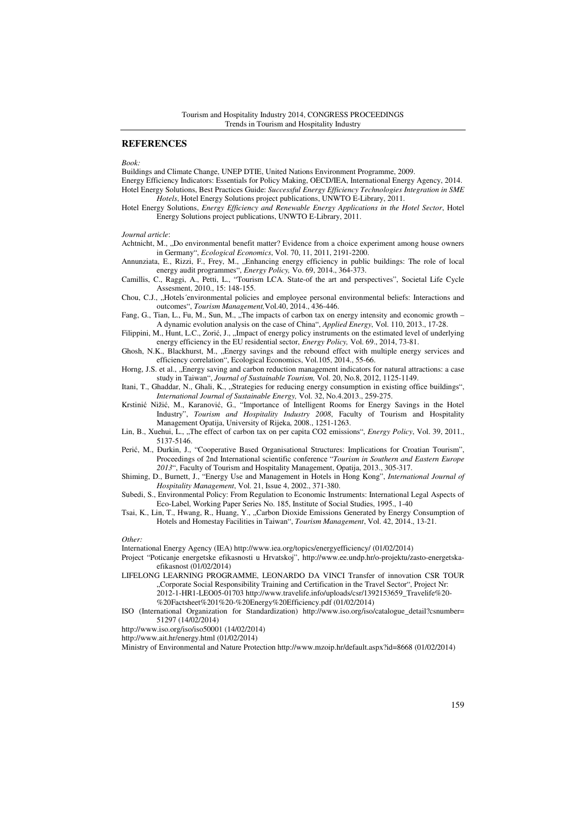#### **REFERENCES**

*Book:* 

Buildings and Climate Change, UNEP DTIE, United Nations Environment Programme, 2009.

Energy Efficiency Indicators: Essentials for Policy Making, OECD/IEA, International Energy Agency, 2014. Hotel Energy Solutions, Best Practices Guide: *Successful Energy Efficiency Technologies Integration in SME Hotels*, Hotel Energy Solutions project publications, UNWTO E-Library, 2011.

Hotel Energy Solutions, *Energy Efficiency and Renewable Energy Applications in the Hotel Sector*, Hotel Energy Solutions project publications, UNWTO E-Library, 2011.

*Journal article*:

Achtnicht, M., "Do environmental benefit matter? Evidence from a choice experiment among house owners in Germany", *Ecological Economics*, Vol. 70, 11, 2011, 2191-2200.

Annunziata, E., Rizzi, F., Frey, M., "Enhancing energy efficiency in public buildings: The role of local energy audit programmes", *Energy Policy,* Vo. 69, 2014., 364-373.

Camillis, C., Raggi, A., Petti, L., "Tourism LCA. State-of the art and perspectives", Societal Life Cycle Assesment, 2010., 15: 148-155.

Chou, C.J., "Hotels´environmental policies and employee personal environmental beliefs: Interactions and outcomes", *Tourism Management,*Vol.40, 2014., 436-446.

Fang, G., Tian, L., Fu, M., Sun, M., "The impacts of carbon tax on energy intensity and economic growth – A dynamic evolution analysis on the case of China", *Applied Energy*, Vol. 110, 2013., 17-28.

Filippini, M., Hunt, L.C., Zorić, J., "Impact of energy policy instruments on the estimated level of underlying energy efficiency in the EU residential sector, *Energy Policy,* Vol. 69., 2014, 73-81.

Ghosh, N.K., Blackhurst, M., "Energy savings and the rebound effect with multiple energy services and efficiency correlation", Ecological Economics, Vol.105, 2014., 55-66.

Horng, J.S. et al., "Energy saving and carbon reduction management indicators for natural attractions: a case study in Taiwan", *Journal of Sustainable Tourism,* Vol. 20, No.8, 2012, 1125-1149.

Itani, T., Ghaddar, N., Ghali, K., "Strategies for reducing energy consumption in existing office buildings", *International Journal of Sustainable Energy,* Vol. 32, No.4.2013., 259-275.

Krstinić Nižić, M., Karanović, G., "Importance of Intelligent Rooms for Energy Savings in the Hotel Industry", *Tourism and Hospitality Industry 2008*, Faculty of Tourism and Hospitality Management Opatija, University of Rijeka, 2008., 1251-1263.

Lin, B., Xuehui, L., "The effect of carbon tax on per capita CO2 emissions", *Energy Policy*, Vol. 39, 2011., 5137-5146.

Perić, M., Đurkin, J., "Cooperative Based Organisational Structures: Implications for Croatian Tourism", Proceedings of 2nd International scientific conference "*Tourism in Southern and Eastern Europe 2013*", Faculty of Tourism and Hospitality Management, Opatija, 2013., 305-317.

Shiming, D., Burnett, J., "Energy Use and Management in Hotels in Hong Kong", *International Journal of Hospitality Management*, Vol. 21, Issue 4, 2002., 371-380.

Subedi, S., Environmental Policy: From Regulation to Economic Instruments: International Legal Aspects of Eco-Label, Working Paper Series No. 185, Institute of Social Studies, 1995., 1-40

Tsai, K., Lin, T., Hwang, R., Huang, Y., "Carbon Dioxide Emissions Generated by Energy Consumption of Hotels and Homestay Facilities in Taiwan", *Tourism Management*, Vol. 42, 2014., 13-21.

*Other:* 

International Energy Agency (IEA) http://www.iea.org/topics/energyefficiency/ (01/02/2014)

Project "Poticanje energetske efikasnosti u Hrvatskoj", http://www.ee.undp.hr/o-projektu/zasto-energetskaefikasnost (01/02/2014)

LIFELONG LEARNING PROGRAMME, LEONARDO DA VINCI Transfer of innovation CSR TOUR "Corporate Social Responsibility Training and Certification in the Travel Sector", Project Nr: 2012-1-HR1-LEO05-01703 http://www.travelife.info/uploads/csr/1392153659\_Travelife%20- %20Factsheet%201%20-%20Energy%20Efficiency.pdf (01/02/2014)

ISO (International Organization for Standardization) http://www.iso.org/iso/catalogue\_detail?csnumber= 51297 (14/02/2014)

http://www.iso.org/iso/iso50001 (14/02/2014)

http://www.ait.hr/energy.html (01/02/2014)

Ministry of Environmental and Nature Protection http://www.mzoip.hr/default.aspx?id=8668 (01/02/2014)